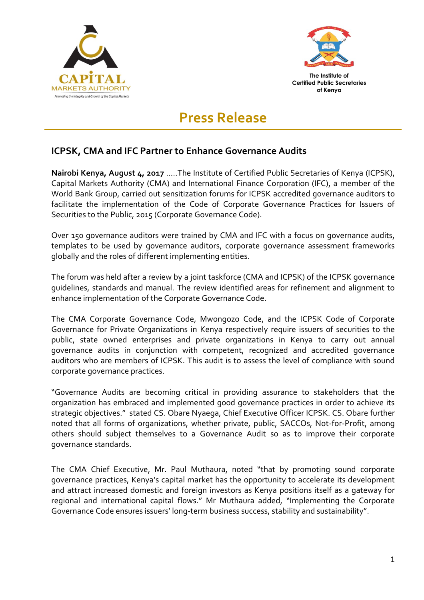



**of Kenya**

# **Press Release**

## **ICPSK, CMA and IFC Partner to Enhance Governance Audits**

**Nairobi Kenya, August 4, 2o17** …..The Institute of Certified Public Secretaries of Kenya (ICPSK), Capital Markets Authority (CMA) and International Finance Corporation (IFC), a member of the World Bank Group, carried out sensitization forums for ICPSK accredited governance auditors to facilitate the implementation of the Code of Corporate Governance Practices for Issuers of Securities to the Public, 2015 (Corporate Governance Code).

Over 150 governance auditors were trained by CMA and IFC with a focus on governance audits, templates to be used by governance auditors, corporate governance assessment frameworks globally and the roles of different implementing entities.

The forum was held after a review by a joint taskforce (CMA and ICPSK) of the ICPSK governance guidelines, standards and manual. The review identified areas for refinement and alignment to enhance implementation of the Corporate Governance Code.

The CMA Corporate Governance Code, Mwongozo Code, and the ICPSK Code of Corporate Governance for Private Organizations in Kenya respectively require issuers of securities to the public, state owned enterprises and private organizations in Kenya to carry out annual governance audits in conjunction with competent, recognized and accredited governance auditors who are members of ICPSK. This audit is to assess the level of compliance with sound corporate governance practices.

"Governance Audits are becoming critical in providing assurance to stakeholders that the organization has embraced and implemented good governance practices in order to achieve its strategic objectives." stated CS. Obare Nyaega, Chief Executive Officer ICPSK. CS. Obare further noted that all forms of organizations, whether private, public, SACCOs, Not-for-Profit, among others should subject themselves to a Governance Audit so as to improve their corporate governance standards.

The CMA Chief Executive, Mr. Paul Muthaura, noted "that by promoting sound corporate governance practices, Kenya's capital market has the opportunity to accelerate its development and attract increased domestic and foreign investors as Kenya positions itself as a gateway for regional and international capital flows." Mr Muthaura added, "Implementing the Corporate Governance Code ensures issuers' long-term business success, stability and sustainability".